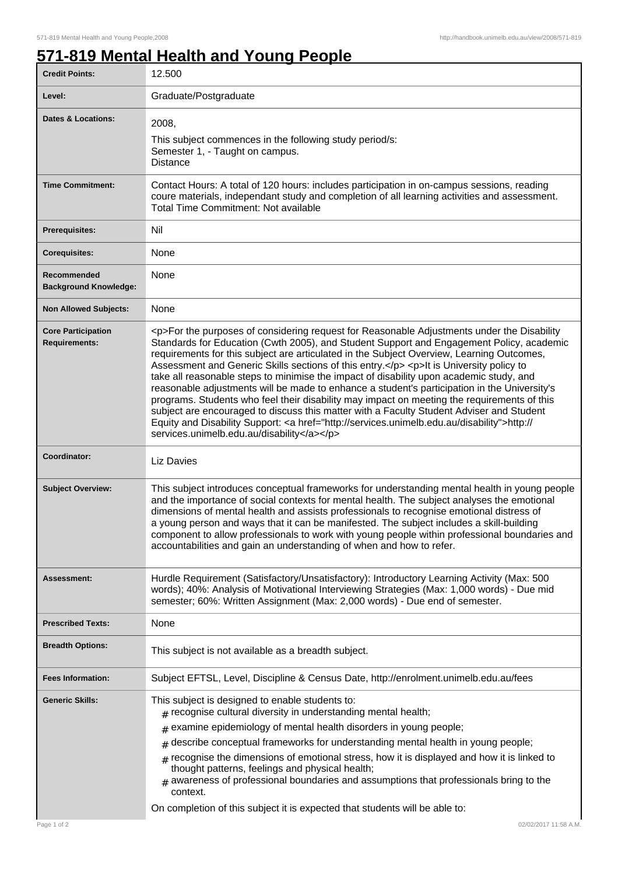## **571-819 Mental Health and Young People**

| <b>Credit Points:</b>                             | 12.500                                                                                                                                                                                                                                                                                                                                                                                                                                                                                                                                                                                                                                                                                                                                                                                                                                                                                                                    |
|---------------------------------------------------|---------------------------------------------------------------------------------------------------------------------------------------------------------------------------------------------------------------------------------------------------------------------------------------------------------------------------------------------------------------------------------------------------------------------------------------------------------------------------------------------------------------------------------------------------------------------------------------------------------------------------------------------------------------------------------------------------------------------------------------------------------------------------------------------------------------------------------------------------------------------------------------------------------------------------|
| Level:                                            | Graduate/Postgraduate                                                                                                                                                                                                                                                                                                                                                                                                                                                                                                                                                                                                                                                                                                                                                                                                                                                                                                     |
| <b>Dates &amp; Locations:</b>                     | 2008,<br>This subject commences in the following study period/s:<br>Semester 1, - Taught on campus.<br><b>Distance</b>                                                                                                                                                                                                                                                                                                                                                                                                                                                                                                                                                                                                                                                                                                                                                                                                    |
| <b>Time Commitment:</b>                           | Contact Hours: A total of 120 hours: includes participation in on-campus sessions, reading<br>coure materials, independant study and completion of all learning activities and assessment.<br><b>Total Time Commitment: Not available</b>                                                                                                                                                                                                                                                                                                                                                                                                                                                                                                                                                                                                                                                                                 |
| <b>Prerequisites:</b>                             | Nil                                                                                                                                                                                                                                                                                                                                                                                                                                                                                                                                                                                                                                                                                                                                                                                                                                                                                                                       |
| <b>Corequisites:</b>                              | None                                                                                                                                                                                                                                                                                                                                                                                                                                                                                                                                                                                                                                                                                                                                                                                                                                                                                                                      |
| Recommended<br><b>Background Knowledge:</b>       | None                                                                                                                                                                                                                                                                                                                                                                                                                                                                                                                                                                                                                                                                                                                                                                                                                                                                                                                      |
| <b>Non Allowed Subjects:</b>                      | None                                                                                                                                                                                                                                                                                                                                                                                                                                                                                                                                                                                                                                                                                                                                                                                                                                                                                                                      |
| <b>Core Participation</b><br><b>Requirements:</b> | <p>For the purposes of considering request for Reasonable Adjustments under the Disability<br/>Standards for Education (Cwth 2005), and Student Support and Engagement Policy, academic<br/>requirements for this subject are articulated in the Subject Overview, Learning Outcomes,<br/>Assessment and Generic Skills sections of this entry.</p> <p>lt is University policy to<br/>take all reasonable steps to minimise the impact of disability upon academic study, and<br/>reasonable adjustments will be made to enhance a student's participation in the University's<br/>programs. Students who feel their disability may impact on meeting the requirements of this<br/>subject are encouraged to discuss this matter with a Faculty Student Adviser and Student<br/>Equity and Disability Support: <a href="http://services.unimelb.edu.au/disability">http://<br/>services.unimelb.edu.au/disability</a></p> |
| Coordinator:                                      | Liz Davies                                                                                                                                                                                                                                                                                                                                                                                                                                                                                                                                                                                                                                                                                                                                                                                                                                                                                                                |
| <b>Subject Overview:</b>                          | This subject introduces conceptual frameworks for understanding mental health in young people<br>and the importance of social contexts for mental health. The subject analyses the emotional<br>dimensions of mental health and assists professionals to recognise emotional distress of<br>a young person and ways that it can be manifested. The subject includes a skill-building<br>component to allow professionals to work with young people within professional boundaries and<br>accountabilities and gain an understanding of when and how to refer.                                                                                                                                                                                                                                                                                                                                                             |
| <b>Assessment:</b>                                | Hurdle Requirement (Satisfactory/Unsatisfactory): Introductory Learning Activity (Max: 500<br>words); 40%: Analysis of Motivational Interviewing Strategies (Max: 1,000 words) - Due mid<br>semester; 60%: Written Assignment (Max: 2,000 words) - Due end of semester.                                                                                                                                                                                                                                                                                                                                                                                                                                                                                                                                                                                                                                                   |
| <b>Prescribed Texts:</b>                          | None                                                                                                                                                                                                                                                                                                                                                                                                                                                                                                                                                                                                                                                                                                                                                                                                                                                                                                                      |
| <b>Breadth Options:</b>                           | This subject is not available as a breadth subject.                                                                                                                                                                                                                                                                                                                                                                                                                                                                                                                                                                                                                                                                                                                                                                                                                                                                       |
| <b>Fees Information:</b>                          | Subject EFTSL, Level, Discipline & Census Date, http://enrolment.unimelb.edu.au/fees                                                                                                                                                                                                                                                                                                                                                                                                                                                                                                                                                                                                                                                                                                                                                                                                                                      |
| <b>Generic Skills:</b>                            | This subject is designed to enable students to:<br>$#$ recognise cultural diversity in understanding mental health;<br>examine epidemiology of mental health disorders in young people;<br>#<br>describe conceptual frameworks for understanding mental health in young people;<br>#<br>recognise the dimensions of emotional stress, how it is displayed and how it is linked to<br>#<br>thought patterns, feelings and physical health;<br>awareness of professional boundaries and assumptions that professionals bring to the<br>#<br>context.<br>On completion of this subject it is expected that students will be able to:                                                                                                                                                                                                                                                                                         |
| Page 1 of 2                                       | 02/02/2017 11:58 A.M.                                                                                                                                                                                                                                                                                                                                                                                                                                                                                                                                                                                                                                                                                                                                                                                                                                                                                                     |